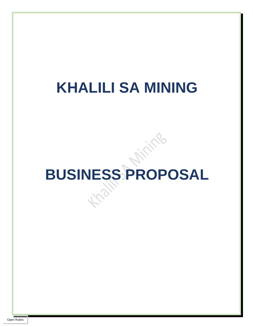### **KHALILI SA MINING**

# **BUSINESS PROPOSAL**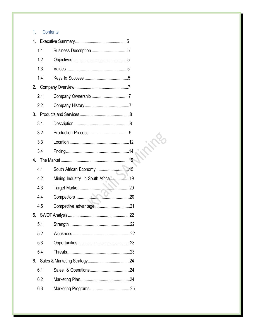#### $1.$ Contents

| 1.1 |                                   |  |
|-----|-----------------------------------|--|
| 1.2 |                                   |  |
| 1.3 |                                   |  |
| 1.4 |                                   |  |
| 2.  |                                   |  |
| 2.1 |                                   |  |
| 2.2 |                                   |  |
|     |                                   |  |
| 3.1 |                                   |  |
| 3.2 |                                   |  |
| 3.3 |                                   |  |
| 3.4 |                                   |  |
|     |                                   |  |
| 4.1 |                                   |  |
| 4.2 | Mining Industry in South Africa19 |  |
| 4.3 |                                   |  |
| 4.4 |                                   |  |
| 4.5 |                                   |  |
| 5.  |                                   |  |
| 5.1 |                                   |  |
| 5.2 |                                   |  |
| 5.3 |                                   |  |
| 5.4 |                                   |  |
| 6.  |                                   |  |
| 6.1 |                                   |  |
| 6.2 |                                   |  |
| 6.3 |                                   |  |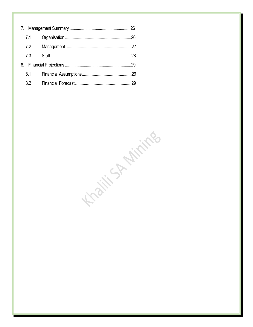|  | 7.1 |  |  |
|--|-----|--|--|
|  | 7.2 |  |  |
|  | 7.3 |  |  |
|  |     |  |  |
|  | 8.1 |  |  |
|  | 8.2 |  |  |

Kating Aritika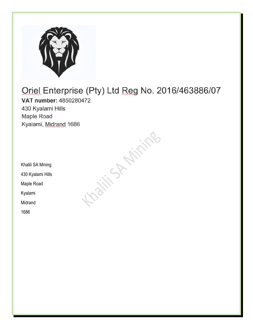

## Oriel Enterprise (Pty) Ltd Reg No. 2016/463886/07 VAT number: 4850280472 430 Kyalami Hills Maple Road Kyalami, Midrand 1686 Kaiti S. Airing

Khalili SA Mining 430 Kyalami Hills

Maple Road

Kyalami

Midrand

1686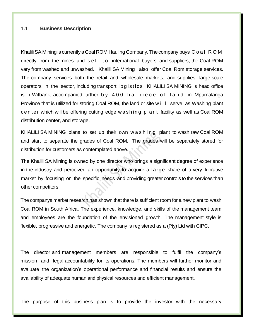#### 1.1 **Business Description**

Khalili SA Mining is currently a Coal ROM Hauling Company. The company buys C o a l R O M directly from the mines and sell to international buyers and suppliers, the Coal ROM vary from washed and unwashed. Khalili SA Mining also offer Coal Rom storage services. The company services both the retail and wholesale markets, and supplies large-scale operators in the sector, including transport logistics. KHALILI SA MINING 's head office is in Witbank, accompanied further by 400 h a piece of land in Mpumalanga Province that is utilized for storing Coal ROM, the land or site w i II serve as Washing plant center which will be offering cutting edge w a shing plant facility as well as Coal ROM distribution center, and storage.

KHALILI SA MINING plans to set up their own w as hing plant to wash raw Coal ROM and start to separate the grades of Coal ROM. The grades will be separately stored for distribution for customers as contemplated above.

The Khalili SA Mining is owned by one director who brings a significant degree of experience in the industry and perceived an opportunity to acquire a large share of a very lucrative market by focusing on the specific needs and providing greater controls to the services than other competitors.

The company's market research has shown that there is sufficient room for a new plant to wash Coal ROM in South Africa. The experience, knowledge, and skills of the management team and employees are the foundation of the envisioned growth. The management style is flexible, progressive and energetic. The company is registered as a (Pty) Ltd with CIPC.

The director and management members are responsible to fulfil the company's mission and legal accountability for its operations. The members will further monitor and evaluate the organization's operational performance and financial results and ensure the availability of adequate human and physical resources and efficient management.

The purpose of this business plan is to provide the investor with the necessary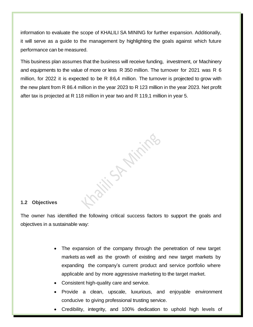information to evaluate the scope of KHALILI SA MINING for further expansion. Additionally, it will serve as a guide to the management by highlighting the goals against which future performance can be measured.

This business plan assumes that the business will receive funding, investment, or Machinery and equipments to the value of more or less R 350 million. The turnover for 2021 was R 6 million, for 2022 it is expected to be R 86,4 million. The turnover is projected to grow with the new plant from R 86.4 million in the year 2023 to R 123 million in the year 2023. Net profit after tax is projected at R 118 million in year two and R 119,1 million in year 5.

#### **1.2 Objectives**

The owner has identified the following critical success factors to support the goals and objectives in a sustainable way:

> • The expansion of the company through the penetration of new target markets as well as the growth of existing and new target markets by expanding the company's current product and service portfolio where applicable and by more aggressive marketing to the target market.

**WANNING** 

- Consistent high-quality care and service.
- Provide a clean, upscale, luxurious, and enjoyable environment conducive to giving professional trusting service.
- Credibility, integrity, and 100% dedication to uphold high levels of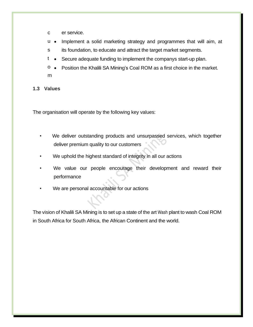- c er service.
- u • Implement a solid marketing strategy and programmes that will aim, at
- s its foundation, to educate and attract the target market segments.
- t Secure adequate funding to implement the company's start-up plan.
- o m • Position the Khalili SA Mining's Coal ROM as a first choice in the market.

#### **1.3 Values**

The organisation will operate by the following key values:

- We deliver outstanding products and unsurpassed services, which together deliver premium quality to our customers
- We uphold the highest standard of integrity in all our actions
- We value our people encourage their development and reward their performance
- We are personal accountable for our actions

The vision of Khalili SA Mining is to set up a state of the art Wash plant to wash Coal ROM in South Africa for South Africa, the African Continent and the world.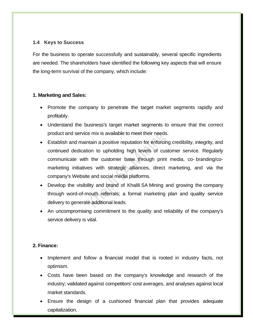#### **1.4 Keys to Success**

For the business to operate successfully and sustainably, several specific ingredients are needed. The shareholders have identified the following key aspects that will ensure the long-term survival of the company, which include:

#### **1. Marketing and Sales:**

- Promote the company to penetrate the target market segments rapidly and profitably.
- Understand the business's target market segments to ensure that the correct product and service mix is available to meet their needs.
- Establish and maintain a positive reputation for enforcing credibility, integrity, and continued dedication to upholding high levels of customer service. Regularly communicate with the customer base through print media, co- branding/comarketing initiatives with strategic alliances, direct marketing, and via the company's Website and social media platforms.
- Develop the visibility and brand of Khalili SA Mining and growing the company through word-of-mouth referrals; a formal marketing plan and quality service delivery to generate additional leads.
- An uncompromising commitment to the quality and reliability of the company's service delivery is vital.

#### **2. Finance:**

- Implement and follow a financial model that is rooted in industry facts, not optimism.
- Costs have been based on the company's knowledge and research of the industry; validated against competitors' cost averages, and analyses against local market standards.
- Ensure the design of a cushioned financial plan that provides adequate capitalization.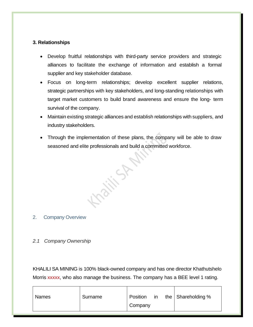#### **3. Relationships**

- Develop fruitful relationships with third-party service providers and strategic alliances to facilitate the exchange of information and establish a formal supplier and key stakeholder database.
- Focus on long-term relationships; develop excellent supplier relations, strategic partnerships with key stakeholders, and long-standing relationships with target market customers to build brand awareness and ensure the long- term survival of the company.
- Maintain existing strategic alliances and establish relationships with suppliers, and industry stakeholders.
- Through the implementation of these plans, the company will be able to draw seasoned and elite professionals and build a committed workforce.

**Kaity Strait** 

2. Company Overview

#### *2.1 Company Ownership*

KHALILI SA MINING is 100% black-owned company and has one director Khathutshelo Morris xxxxx, who also manage the business. The company has a BEE level 1 rating.

| Surname<br><b>Names</b> | the $\vert$ Shareholding %<br>Position<br>in<br>Company |
|-------------------------|---------------------------------------------------------|
|-------------------------|---------------------------------------------------------|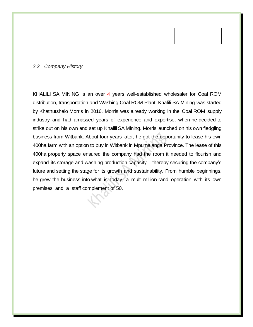#### *2.2 Company History*

KHALILI SA MINING is an over 4 years well-established wholesaler for Coal ROM distribution, transportation and Washing Coal ROM Plant. Khalili SA Mining was started by Khathutshelo Morris in 2016. Morris was already working in the Coal ROM supply industry and had amassed years of experience and expertise, when he decided to strike out on his own and set up Khalili SA Mining. Morris launched on his own fledgling business from Witbank. About four years later, he got the opportunity to lease his own 400ha farm with an option to buy in Witbank in Mpumalanga Province. The lease of this 400ha property space ensured the company had the room it needed to flourish and expand its storage and washing production capacity – thereby securing the company's future and setting the stage for its growth and sustainability. From humble beginnings, he grew the business into what is today, a multi-million-rand operation with its own premises and a staff complement of 50.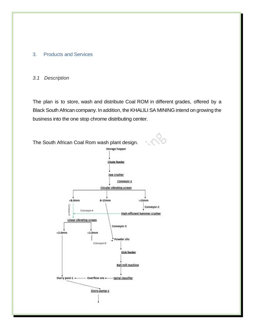#### 3. Products and Services

#### *3.1 Description*

The plan is to store, wash and distribute Coal ROM in different grades, offered by a Black SouthAfrican company. In addition, the KHALILI SA MINING intend on growing the business into the one stop chrome distributing center.

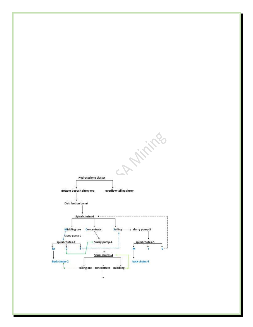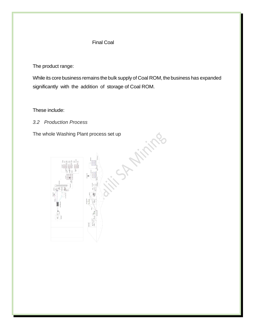#### Final Coal

The product range:

While its core business remains the bulk supply of Coal ROM, the business has expanded significantly with the addition of storage of Coal ROM.

These include:

*3.2 Production Process*

The whole Washing Plant process set up

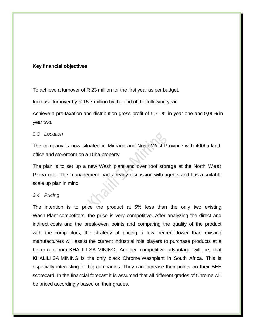#### **Key financial objectives**

To achieve a turnover of R 23 million for the first year as per budget.

Increase turnover by R 15.7 million by the end of the following year.

Achieve a pre-taxation and distribution gross profit of 5,71 % in year one and 9,06% in year two.

#### *3.3 Location*

The company is now situated in Midrand and North West Province with 400ha land, office and storeroom on a 15ha property.

The plan is to set up a new Wash plant and over roof storage at the North West Province. The management had already discussion with agents and has a suitable scale up plan in mind.

#### *3.4 Pricing*

The intention is to price the product at 5% less than the only two existing Wash Plant competitors, the price is very competitive. After analyzing the direct and indirect costs and the break-even points and comparing the quality of the product with the competitors, the strategy of pricing a few percent lower than existing manufacturers will assist the current industrial role players to purchase products at a better rate from KHALILI SA MINING. Another competitive advantage will be, that KHALILI SA MINING is the only black Chrome Washplant in South Africa. This is especially interesting for big companies. They can increase their points on their BEE scorecard. In the financial forecast it is assumed that all different grades of Chrome will be priced accordingly based on their grades.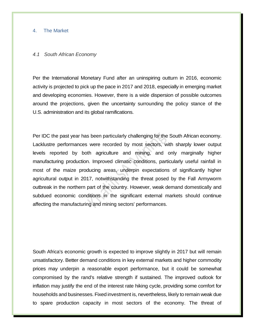#### 4. The Market

#### *4.1 South African Economy*

Per the International Monetary Fund after an uninspiring outturn in 2016, economic activity is projected to pick up the pace in 2017 and 2018, especially in emerging market and developing economies. However, there is a wide dispersion of possible outcomes around the projections, given the uncertainty surrounding the policy stance of the U.S. administration and its global ramifications.

Per IDC the past year has been particularly challenging for the South African economy. Lacklustre performances were recorded by most sectors, with sharply lower output levels reported by both agriculture and mining, and only marginally higher manufacturing production. Improved climatic conditions, particularly useful rainfall in most of the maize producing areas, underpin expectations of significantly higher agricultural output in 2017, notwithstanding the threat posed by the Fall Armyworm outbreak in the northern part of the country. However, weak demand domestically and subdued economic conditions in the significant external markets should continue affecting the manufacturing and mining sectors' performances.

South Africa's economic growth is expected to improve slightly in 2017 but will remain unsatisfactory. Better demand conditions in key external markets and higher commodity prices may underpin a reasonable export performance, but it could be somewhat compromised by the rand's relative strength if sustained. The improved outlook for inflation may justify the end of the interest rate hiking cycle, providing some comfort for households and businesses. Fixed investment is, nevertheless, likely to remain weak due to spare production capacity in most sectors of the economy. The threat of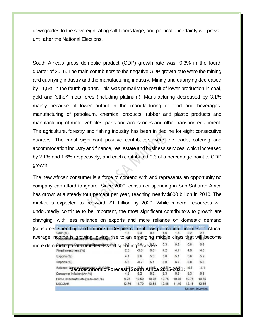downgrades to the sovereign rating still looms large, and political uncertainty will prevail until after the National Elections.

South Africa's gross domestic product (GDP) growth rate was -0,3% in the fourth quarter of 2016. The main contributors to the negative GDP growth rate were the mining and quarrying industry and the manufacturing industry. Mining and quarrying decreased by 11,5% in the fourth quarter. This was primarily the result of lower production in coal, gold and 'other' metal ores (including platinum). Manufacturing decreased by 3,1% mainly because of lower output in the manufacturing of food and beverages, manufacturing of petroleum, chemical products, rubber and plastic products and manufacturing of motor vehicles, parts and accessories and other transport equipment. The agriculture, forestry and fishing industry has been in decline for eight consecutive quarters. The most significant positive contributors were the trade, catering and accommodation industry and finance, real estate and business services, which increased by 2,1% and 1,6% respectively, and each contributed 0,3 of a percentage point to GDP growth.

The new African consumer is a force to contend with and represents an opportunity no company can afford to ignore. Since 2000, consumer spending in Sub-Saharan Africa has grown at a steady four percent per year, reaching nearly \$600 billion in 2010. The market is expected to be worth \$1 trillion by 2020. While mineral resources will undoubtedly continue to be important, the most significant contributors to growth are changing, with less reliance on exports and more reliance on domestic demand (consumer spending and imports). Despite current low per capita incomes in Africa, GDP (%)  $1.3$  $0.3$  $0.8$ 1.6  $2.2$  $2.5$ average income is growing, giving rise to an emerging middle class that will become  $0.3$  $0.5$  $0.8$  $0.9$ more demanding as income levels and spending increase. 4.9  $4.0$ Fixed Investment (%)  $2.5$  $-3.0$  $0.6$  $4.2$  $4.7$  $4.1$  $2.6$  $5.0$  $5.1$ 5.6 5.9 Exports (%) 5.3 5.3  $-0.7$  $5.1$  $5.0$ 6.7 5.8 Imports (%) 5.8 Balance: **Macroeconomic Forecast (South Africa 2015-2021:** 4.1  $-4.1$  $5.3$  $5.3$ Prime Overdraft Rate (year-end: %) 9.75 10.50 10.75 10.75 10.75 10.75 10.75

12.76

14.70

13.84

12.48

11.49

 $12.15$ 

12.35 Source: Invested

USD/ZAR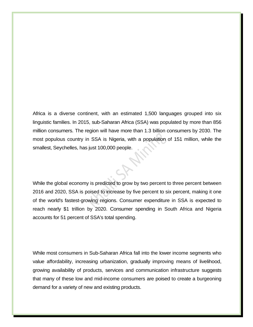Africa is a diverse continent, with an estimated 1,500 languages grouped into six linguistic families. In 2015, sub-Saharan Africa (SSA) was populated by more than 856 million consumers. The region will have more than 1.3 billion consumers by 2030. The most populous country in SSA is Nigeria, with a population of 151 million, while the smallest, Seychelles, has just 100,000 people.

While the global economy is predicted to grow by two percent to three percent between 2016 and 2020, SSA is poised to increase by five percent to six percent, making it one of the world's fastest-growing regions. Consumer expenditure in SSA is expected to reach nearly \$1 trillion by 2020. Consumer spending in South Africa and Nigeria accounts for 51 percent of SSA's total spending.

While most consumers in Sub-Saharan Africa fall into the lower income segments who value affordability, increasing urbanization, gradually improving means of livelihood, growing availability of products, services and communication infrastructure suggests that many of these low and mid-income consumers are poised to create a burgeoning demand for a variety of new and existing products.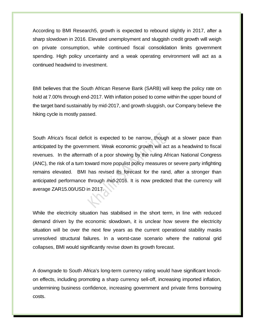According to BMI Research5, growth is expected to rebound slightly in 2017, after a sharp slowdown in 2016. Elevated unemployment and sluggish credit growth will weigh on private consumption, while continued fiscal consolidation limits government spending. High policy uncertainty and a weak operating environment will act as a continued headwind to investment.

BMI believes that the South African Reserve Bank (SARB) will keep the policy rate on hold at 7.00% through end-2017. With inflation poised to come within the upper bound of the target band sustainably by mid-2017, and growth sluggish, our Company believe the hiking cycle is mostly passed.

South Africa's fiscal deficit is expected to be narrow, though at a slower pace than anticipated by the government. Weak economic growth will act as a headwind to fiscal revenues. In the aftermath of a poor showing by the ruling African National Congress (ANC), the risk of a turn toward more populist policy measures or severe party infighting remains elevated. BMI has revised its forecast for the rand, after a stronger than anticipated performance through mid-2016. It is now predicted that the currency will average ZAR15.00/USD in 2017.

While the electricity situation has stabilised in the short term, in line with reduced demand driven by the economic slowdown, it is unclear how severe the electricity situation will be over the next few years as the current operational stability masks unresolved structural failures. In a worst-case scenario where the national grid collapses, BMI would significantly revise down its growth forecast.

A downgrade to South Africa's long-term currency rating would have significant knockon effects, including promoting a sharp currency sell-off, increasing imported inflation, undermining business confidence, increasing government and private firms borrowing costs.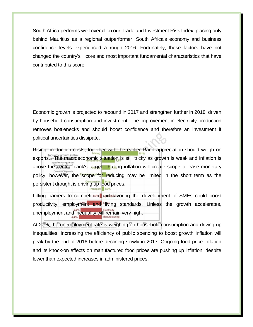South Africa performs well overall on our Trade and Investment Risk Index, placing only behind Mauritius as a regional outperformer. South Africa's economy and business confidence levels experienced a rough 2016. Fortunately, these factors have not changed the country's core and most important fundamental characteristics that have contributed to this score.

Economic growth is projected to rebound in 2017 and strengthen further in 2018, driven by household consumption and investment. The improvement in electricity production removes bottlenecks and should boost confidence and therefore an investment if political uncertainties dissipate.

Rising production costs, together with the earlier Rand appreciation should weigh on exports. 3rd the macroeconomic situation is still tricky as growth is weak and inflation is above the central bank's target. Falling inflation will create scope to ease monetary policy; however, the scope for reducing may be limited in the short term as the persistent drought is driving up food prices.

Lifting barriers to competition and favoring the development of SMEs could boost productivity, employment and living standards. Unless the growth accelerates, unemployment and inequality will remain very high.

At 27%, the unemployment rate is weighing on household consumption and driving up inequalities. Increasing the efficiency of public spending to boost growth Inflation will peak by the end of 2016 before declining slowly in 2017. Ongoing food price inflation and its knock-on effects on manufactured food prices are pushing up inflation, despite lower than expected increases in administered prices.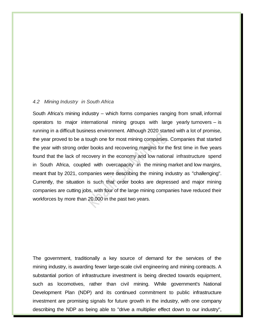#### *4.2 Mining Industry in South Africa*

South Africa's mining industry – which forms companies ranging from small, informal operators to major international mining groups with large yearly turnovers – is running in a difficult business environment. Although 2020 started with a lot of promise, the year proved to be a tough one for most mining companies. Companies that started the year with strong order books and recovering margins for the first time in five years found that the lack of recovery in the economy and low national infrastructure spend in South Africa, coupled with overcapacity in the mining market and low margins, meant that by 2021, companies were describing the mining industry as "challenging". Currently, the situation is such that order books are depressed and major mining companies are cutting jobs, with four of the large mining companies have reduced their workforces by more than 20,000 in the past two years.

The government, traditionally a key source of demand for the services of the mining industry, is awarding fewer large-scale civil engineering and mining contracts. A substantial portion of infrastructure investment is being directed towards equipment, such as locomotives, rather than civil mining. While government's National Development Plan (NDP) and its continued commitment to public infrastructure investment are promising signals for future growth in the industry, with one company describing the NDP as being able to "drive a multiplier effect down to our industry",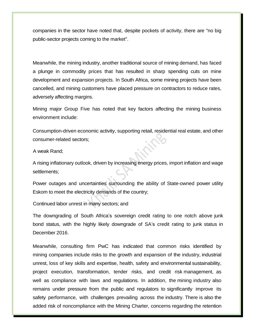companies in the sector have noted that, despite pockets of activity, there are "no big public-sector projects coming to the market".

Meanwhile, the mining industry, another traditional source of mining demand, has faced a plunge in commodity prices that has resulted in sharp spending cuts on mine development and expansion projects. In South Africa, some mining projects have been cancelled, and mining customers have placed pressure on contractors to reduce rates, adversely affecting margins.

Mining major Group Five has noted that key factors affecting the mining business environment include:

Consumption-driven economic activity, supporting retail, residential real estate, and other consumer-related sectors;

A weak Rand;

A rising inflationary outlook, driven by increasing energy prices, import inflation and wage settlements;

Power outages and uncertainties surrounding the ability of State-owned power utility Eskom to meet the electricity demands of the country;

Continued labor unrest in many sectors; and

The downgrading of South Africa's sovereign credit rating to one notch above junk bond status, with the highly likely downgrade of SA's credit rating to junk status in December 2016.

Meanwhile, consulting firm PwC has indicated that common risks identified by mining companies include risks to the growth and expansion of the industry, industrial unrest, loss of key skills and expertise, health, safety and environmental sustainability, project execution, transformation, tender risks, and credit risk management, as well as compliance with laws and regulations. In addition, the mining industry also remains under pressure from the public and regulators to significantly improve its safety performance, with challenges prevailing across the industry. There is also the added risk of noncompliance with the Mining Charter, concerns regarding the retention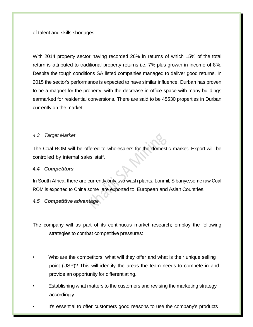of talent and skills shortages.

With 2014 property sector having recorded 26% in returns of which 15% of the total return is attributed to traditional property returns i.e. 7% plus growth in income of 8%. Despite the tough conditions SA listed companies managed to deliver good returns. In 2015 the sector's performance is expected to have similar influence. Durban has proven to be a magnet for the property, with the decrease in office space with many buildings earmarked for residential conversions. There are said to be 45530 properties in Durban currently on the market.

#### *4.3 Target Market*

The Coal ROM will be offered to wholesalers for the domestic market. Export will be controlled by internal sales staff.

#### *4.4 Competitors*

In South Africa, there are currently only two wash plants, Lonmil, Sibanye,some raw Coal ROM is exported to China some are exported to European and Asian Countries.

#### *4.5 Competitive advantage*

The company will as part of its continuous market research; employ the following strategies to combat competitive pressures:

- Who are the competitors, what will they offer and what is their unique selling point (USP)? This will identify the areas the team needs to compete in and provide an opportunity for differentiating.
- Establishing what matters to the customers and revising the marketing strategy accordingly.
- It's essential to offer customers good reasons to use the company's products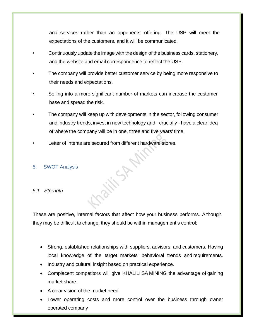and services rather than an opponents' offering. The USP will meet the expectations of the customers, and it will be communicated.

- Continuously update the image with the design of the business cards, stationery, and the website and email correspondence to reflect the USP.
- The company will provide better customer service by being more responsive to their needs and expectations.
- Selling into a more significant number of markets can increase the customer base and spread the risk.
- The company will keep up with developments in the sector, following consumer and industry trends, invest in new technology and - crucially - have a clear idea of where the company will be in one, three and five years' time.
- Letter of intents are secured from different hardware stores.

#### 5. SWOT Analysis

#### *5.1 Strength*

These are positive, internal factors that affect how your business performs. Although they may be difficult to change, they should be within management's control:

- Strong, established relationships with suppliers, advisors, and customers. Having local knowledge of the target markets' behavioral trends and requirements.
- Industry and cultural insight based on practical experience.
- Complacent competitors will give KHALILI SA MINING the advantage of gaining market share.
- A clear vision of the market need.
- Lower operating costs and more control over the business through owner operated company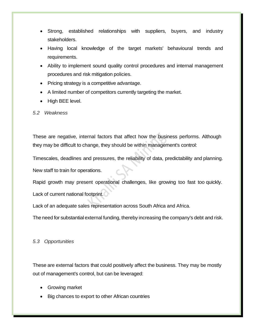- Strong, established relationships with suppliers, buyers, and industry stakeholders.
- Having local knowledge of the target markets' behavioural trends and requirements.
- Ability to implement sound quality control procedures and internal management procedures and risk mitigation policies.
- Pricing strategy is a competitive advantage.
- A limited number of competitors currently targeting the market.
- High BEE level.

#### *5.2 Weakness*

These are negative, internal factors that affect how the business performs. Although they may be difficult to change, they should be within management's control:

Timescales, deadlines and pressures, the reliability of data, predictability and planning.

New staff to train for operations.

Rapid growth may present operational challenges, like growing too fast too quickly. Lack of current national footprint.

Lack of an adequate sales representation across South Africa and Africa.

The need for substantial external funding, thereby increasing the company's debt and risk.

#### *5.3 Opportunities*

These are external factors that could positively affect the business. They may be mostly out of management's control, but can be leveraged:

- Growing market
- Big chances to export to other African countries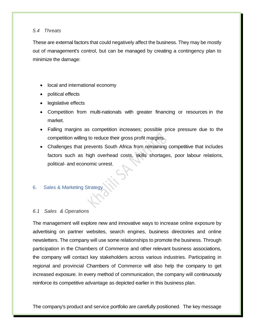#### *5.4 Threats*

These are external factors that could negatively affect the business. They may be mostly out of management's control, but can be managed by creating a contingency plan to minimize the damage:

- local and international economy
- political effects
- legislative effects
- Competition from multi-nationals with greater financing or resources in the market.
- Falling margins as competition increases; possible price pressure due to the competition willing to reduce their gross profit margins.
- Challenges that prevents South Africa from remaining competitive that includes factors such as high overhead costs, skills shortages, poor labour relations, political- and economic unrest.
- 6. Sales & Marketing Strategy

#### *6.1 Sales & Operations*

The management will explore new and innovative ways to increase online exposure by advertising on partner websites, search engines, business directories and online newsletters. The company will use some relationships to promote the business. Through participation in the Chambers of Commerce and other relevant business associations, the company will contact key stakeholders across various industries. Participating in regional and provincial Chambers of Commerce will also help the company to get increased exposure. In every method of communication, the company will continuously reinforce its competitive advantage as depicted earlier in this business plan.

The company's product and service portfolio are carefully positioned. The key message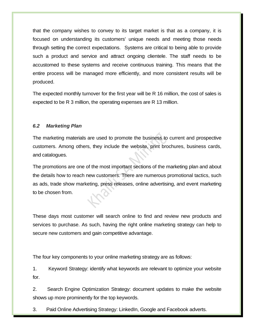that the company wishes to convey to its target market is that as a company, it is focused on understanding its customers' unique needs and meeting those needs through setting the correct expectations. Systems are critical to being able to provide such a product and service and attract ongoing clientele. The staff needs to be accustomed to these systems and receive continuous training. This means that the entire process will be managed more efficiently, and more consistent results will be produced.

The expected monthly turnover for the first year will be R 16 million, the cost of sales is expected to be R 3 million, the operating expenses are R 13 million.

#### *6.2 Marketing Plan*

The marketing materials are used to promote the business to current and prospective customers. Among others, they include the website, print brochures, business cards, and catalogues.

The promotions are one of the most important sections of the marketing plan and about the details how to reach new customers. There are numerous promotional tactics, such as ads, trade show marketing, press releases, online advertising, and event marketing to be chosen from.

These days most customer will search online to find and review new products and services to purchase. As such, having the right online marketing strategy can help to secure new customers and gain competitive advantage.

The four key components to your online marketing strategy are as follows:

1. Keyword Strategy: identify what keywords are relevant to optimize your website for.

2. Search Engine Optimization Strategy: document updates to make the website shows up more prominently for the top keywords.

3. Paid Online Advertising Strategy: LinkedIn, Google and Facebook adverts.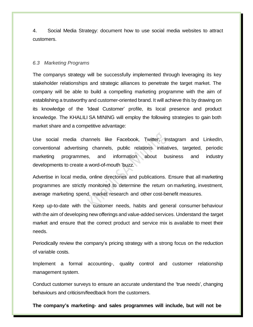4. Social Media Strategy: document how to use social media websites to attract customers.

#### *6.3 Marketing Programs*

The companys strategy will be successfully implemented through leveraging its key stakeholder relationships and strategic alliances to penetrate the target market. The company will be able to build a compelling marketing programme with the aim of establishing a trustworthy and customer-oriented brand. It will achieve this by drawing on its knowledge of the 'Ideal Customer' profile, its local presence and product knowledge. The KHALILI SA MINING will employ the following strategies to gain both market share and a competitive advantage:

Use social media channels like Facebook, Twitter, Instagram and LinkedIn, conventional advertising channels, public relations initiatives, targeted, periodic marketing programmes, and information about business and industry developments to create a word-of-mouth 'buzz.

Advertise in local media, online directories and publications. Ensure that all marketing programmes are strictly monitored to determine the return on marketing, investment, average marketing spend, market research and other cost-benefit measures.

Keep up-to-date with the customer needs, habits and general consumer behaviour with the aim of developing new offerings and value-added services. Understand the target market and ensure that the correct product and service mix is available to meet their needs.

Periodically review the company's pricing strategy with a strong focus on the reduction of variable costs.

Implement a formal accounting-, quality control and customer relationship management system.

Conduct customer surveys to ensure an accurate understand the 'true needs', changing behaviours and criticism/feedback from the customers.

**The company's marketing- and sales programmes will include, but will not be**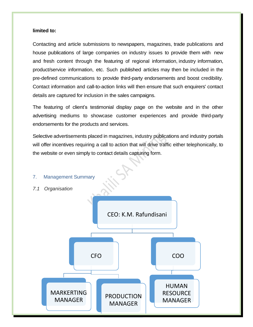#### **limited to:**

Contacting and article submissions to newspapers, magazines, trade publications and house publications of large companies on industry issues to provide them with new and fresh content through the featuring of regional information, industry information, product/service information, etc. Such published articles may then be included in the pre-defined communications to provide third-party endorsements and boost credibility. Contact information and call-to-action links will then ensure that such enquirers' contact details are captured for inclusion in the sales campaigns.

The featuring of client's testimonial display page on the website and in the other advertising mediums to showcase customer experiences and provide third-party endorsements for the products and services.

Selective advertisements placed in magazines, industry publications and industry portals will offer incentives requiring a call to action that will drive traffic either telephonically, to the website or even simply to contact details capturing form.

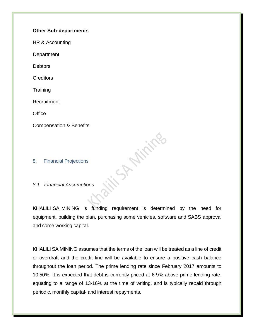#### **Other Sub-departments**

HR & Accounting

**Department** 

**Debtors** 

**Creditors** 

**Training** 

Recruitment

**Office** 

Compensation & Benefits

8. Financial Projections

*8.1 Financial Assumptions*

KHALILI SA MINING 's funding requirement is determined by the need for equipment, building the plan, purchasing some vehicles, software and SABS approval and some working capital.

**Afiring** 

KHALILI SA MINING assumes that the terms of the loan will be treated as a line of credit or overdraft and the credit line will be available to ensure a positive cash balance throughout the loan period. The prime lending rate since February 2017 amounts to 10.50%. It is expected that debt is currently priced at 6-9% above prime lending rate, equating to a range of 13-16% at the time of writing, and is typically repaid through periodic, monthly capital- and interest repayments.